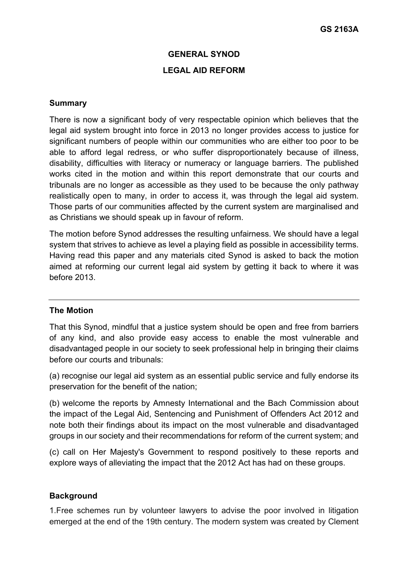#### **GENERAL SYNOD**

### **LEGAL AID REFORM**

#### **Summary**

There is now a significant body of very respectable opinion which believes that the legal aid system brought into force in 2013 no longer provides access to justice for significant numbers of people within our communities who are either too poor to be able to afford legal redress, or who suffer disproportionately because of illness, disability, difficulties with literacy or numeracy or language barriers. The published works cited in the motion and within this report demonstrate that our courts and tribunals are no longer as accessible as they used to be because the only pathway realistically open to many, in order to access it, was through the legal aid system. Those parts of our communities affected by the current system are marginalised and as Christians we should speak up in favour of reform.

The motion before Synod addresses the resulting unfairness. We should have a legal system that strives to achieve as level a playing field as possible in accessibility terms. Having read this paper and any materials cited Synod is asked to back the motion aimed at reforming our current legal aid system by getting it back to where it was before 2013.

#### **The Motion**

That this Synod, mindful that a justice system should be open and free from barriers of any kind, and also provide easy access to enable the most vulnerable and disadvantaged people in our society to seek professional help in bringing their claims before our courts and tribunals:

(a) recognise our legal aid system as an essential public service and fully endorse its preservation for the benefit of the nation;

(b) welcome the reports by Amnesty International and the Bach Commission about the impact of the Legal Aid, Sentencing and Punishment of Offenders Act 2012 and note both their findings about its impact on the most vulnerable and disadvantaged groups in our society and their recommendations for reform of the current system; and

(c) call on Her Majesty's Government to respond positively to these reports and explore ways of alleviating the impact that the 2012 Act has had on these groups.

### **Background**

1.Free schemes run by volunteer lawyers to advise the poor involved in litigation emerged at the end of the 19th century. The modern system was created by Clement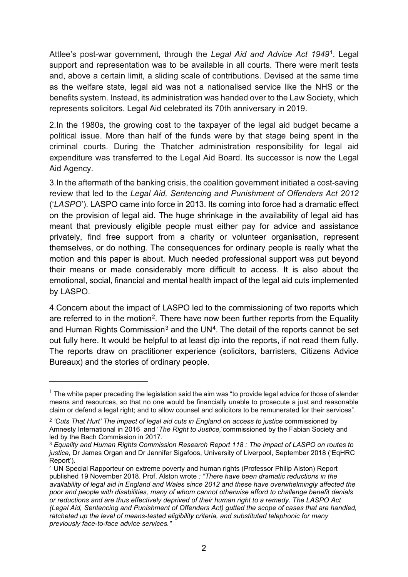Attlee's post-war government, through the *Legal Aid and Advice Act 1949*[1](#page-1-0). Legal support and representation was to be available in all courts. There were merit tests and, above a certain limit, a sliding scale of contributions. Devised at the same time as the welfare state, legal aid was not a nationalised service like the NHS or the benefits system. Instead, its administration was handed over to the Law Society, which represents solicitors. Legal Aid celebrated its 70th anniversary in 2019.

2.In the 1980s, the growing cost to the taxpayer of the legal aid budget became a political issue. More than half of the funds were by that stage being spent in the criminal courts. During the Thatcher administration responsibility for legal aid expenditure was transferred to the Legal Aid Board. Its successor is now the Legal Aid Agency.

3.In the aftermath of the banking crisis, the coalition government initiated a cost-saving review that led to the *Legal Aid, Sentencing and Punishment of Offenders Act 2012* ('*LASPO*'). LASPO came into force in 2013. Its coming into force had a dramatic effect on the provision of legal aid. The huge shrinkage in the availability of legal aid has meant that previously eligible people must either pay for advice and assistance privately, find free support from a charity or volunteer organisation, represent themselves, or do nothing. The consequences for ordinary people is really what the motion and this paper is about. Much needed professional support was put beyond their means or made considerably more difficult to access. It is also about the emotional, social, financial and mental health impact of the legal aid cuts implemented by LASPO.

4.Concern about the impact of LASPO led to the commissioning of two reports which are referred to in the motion<sup>[2](#page-1-1)</sup>. There have now been further reports from the Equality and Human Rights Commission<sup>[3](#page-1-2)</sup> and the UN<sup>4</sup>. The detail of the reports cannot be set out fully here. It would be helpful to at least dip into the reports, if not read them fully. The reports draw on practitioner experience (solicitors, barristers, Citizens Advice Bureaux) and the stories of ordinary people.

<span id="page-1-0"></span> $1$  The white paper preceding the legislation said the aim was "to provide legal advice for those of slender means and resources, so that no one would be financially unable to prosecute a just and reasonable claim or defend a legal right; and to allow counsel and solicitors to be remunerated for their services".

<span id="page-1-1"></span><sup>2</sup> *'Cuts That Hurt' The impact of legal aid cuts in England on access to justice* commissioned by Amnesty International in 2016 and '*The Right to Justice,*'commissioned by the Fabian Society and led by the Bach Commission in 2017.

<span id="page-1-2"></span><sup>3</sup> *Equality and Human Rights Commission Research Report 118 : The impact of LASPO on routes to justice*, Dr James Organ and Dr Jennifer Sigafoos, University of Liverpool, September 2018 ('EqHRC Report').

<span id="page-1-3"></span><sup>4</sup> UN Special Rapporteur on extreme poverty and human rights (Professor Philip Alston) Report published 19 November 2018. Prof. Alston wrote *: "There have been dramatic reductions in the availability of legal aid in England and Wales since 2012 and these have overwhelmingly affected the poor and people with disabilities, many of whom cannot otherwise afford to challenge benefit denials or reductions and are thus effectively deprived of their human right to a remedy. The LASPO Act (Legal Aid, Sentencing and Punishment of Offenders Act) gutted the scope of cases that are handled, ratcheted up the level of means-tested eligibility criteria, and substituted telephonic for many previously face-to-face advice services."*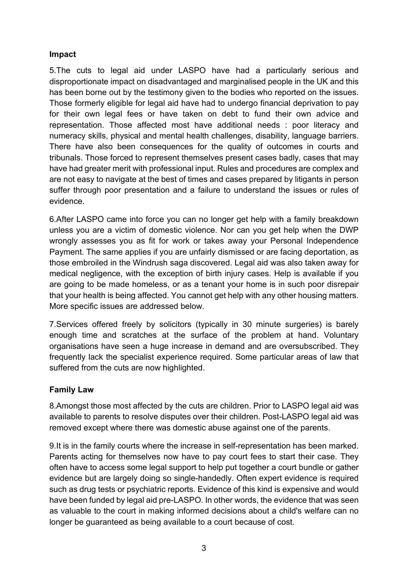## **Impact**

5.The cuts to legal aid under LASPO have had a particularly serious and disproportionate impact on disadvantaged and marginalised people in the UK and this has been borne out by the testimony given to the bodies who reported on the issues. Those formerly eligible for legal aid have had to undergo financial deprivation to pay for their own legal fees or have taken on debt to fund their own advice and representation. Those affected most have additional needs : poor literacy and numeracy skills, physical and mental health challenges, disability, language barriers. There have also been consequences for the quality of outcomes in courts and tribunals. Those forced to represent themselves present cases badly, cases that may have had greater merit with professional input. Rules and procedures are complex and are not easy to navigate at the best of times and cases prepared by litigants in person suffer through poor presentation and a failure to understand the issues or rules of evidence.

6.After LASPO came into force you can no longer get help with a family breakdown unless you are a victim of domestic violence. Nor can you get help when the DWP wrongly assesses you as fit for work or takes away your Personal Independence Payment. The same applies if you are unfairly dismissed or are facing deportation, as those embroiled in the Windrush saga discovered. Legal aid was also taken away for medical negligence, with the exception of birth injury cases. Help is available if you are going to be made homeless, or as a tenant your home is in such poor disrepair that your health is being affected. You cannot get help with any other housing matters. More specific issues are addressed below.

7.Services offered freely by solicitors (typically in 30 minute surgeries) is barely enough time and scratches at the surface of the problem at hand. Voluntary organisations have seen a huge increase in demand and are oversubscribed. They frequently lack the specialist experience required. Some particular areas of law that suffered from the cuts are now highlighted.

# **Family Law**

8.Amongst those most affected by the cuts are children. Prior to LASPO legal aid was available to parents to resolve disputes over their children. Post-LASPO legal aid was removed except where there was domestic abuse against one of the parents.

9.It is in the family courts where the increase in self-representation has been marked. Parents acting for themselves now have to pay court fees to start their case. They often have to access some legal support to help put together a court bundle or gather evidence but are largely doing so single-handedly. Often expert evidence is required such as drug tests or psychiatric reports. Evidence of this kind is expensive and would have been funded by legal aid pre-LASPO. In other words, the evidence that was seen as valuable to the court in making informed decisions about a child's welfare can no longer be guaranteed as being available to a court because of cost.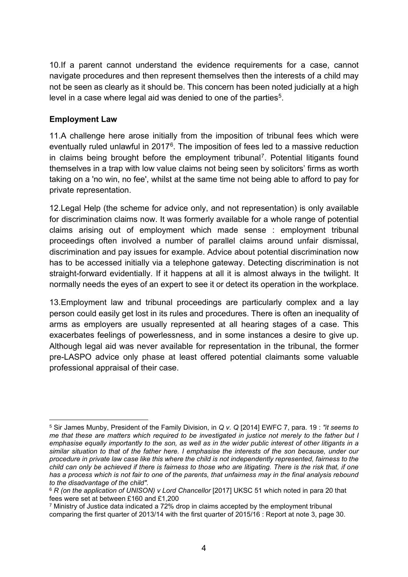10.If a parent cannot understand the evidence requirements for a case, cannot navigate procedures and then represent themselves then the interests of a child may not be seen as clearly as it should be. This concern has been noted judicially at a high level in a case where legal aid was denied to one of the parties<sup>5</sup>.

# **Employment Law**

11.A challenge here arose initially from the imposition of tribunal fees which were eventually ruled unlawful in 2017<sup>6</sup>. The imposition of fees led to a massive reduction in claims being brought before the employment tribunal<sup>[7](#page-3-2)</sup>. Potential litigants found themselves in a trap with low value claims not being seen by solicitors' firms as worth taking on a 'no win, no fee', whilst at the same time not being able to afford to pay for private representation.

12.Legal Help (the scheme for advice only, and not representation) is only available for discrimination claims now. It was formerly available for a whole range of potential claims arising out of employment which made sense : employment tribunal proceedings often involved a number of parallel claims around unfair dismissal, discrimination and pay issues for example. Advice about potential discrimination now has to be accessed initially via a telephone gateway. Detecting discrimination is not straight-forward evidentially. If it happens at all it is almost always in the twilight. It normally needs the eyes of an expert to see it or detect its operation in the workplace.

13.Employment law and tribunal proceedings are particularly complex and a lay person could easily get lost in its rules and procedures. There is often an inequality of arms as employers are usually represented at all hearing stages of a case. This exacerbates feelings of powerlessness, and in some instances a desire to give up. Although legal aid was never available for representation in the tribunal, the former pre-LASPO advice only phase at least offered potential claimants some valuable professional appraisal of their case.

<span id="page-3-0"></span><sup>5</sup> Sir James Munby, President of the Family Division, in *Q v. Q* [2014] EWFC 7, para. 19 : *"it seems to* me that these are matters which required to be investigated in justice not merely to the father but I emphasise equally importantly to the son, as well as in the wider public interest of other litigants in a similar situation to that of the father here. I emphasise the interests of the son because, under our *procedure in private law case like this where the child is not independently represented, fairness to the* child can only be achieved if there is fairness to those who are litigating. There is the risk that, if one has a process which is not fair to one of the parents, that unfairness may in the final analysis rebound *to the disadvantage of the child"*.

<span id="page-3-1"></span><sup>6</sup> *R (on the application of UNISON) v Lord Chancellor* [2017] UKSC 51 which noted in para 20 that fees were set at between £160 and £1,200

<span id="page-3-2"></span> $7$  Ministry of Justice data indicated a 72% drop in claims accepted by the employment tribunal comparing the first quarter of 2013/14 with the first quarter of 2015/16 : Report at note 3, page 30.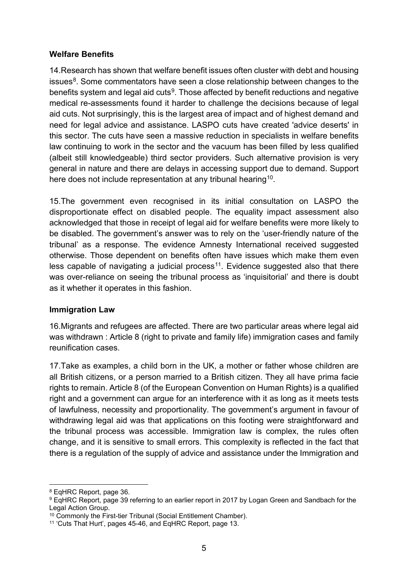## **Welfare Benefits**

14.Research has shown that welfare benefit issues often cluster with debt and housing issues $8$ . Some commentators have seen a close relationship between changes to the benefits system and legal aid cuts<sup>[9](#page-4-1)</sup>. Those affected by benefit reductions and negative medical re-assessments found it harder to challenge the decisions because of legal aid cuts. Not surprisingly, this is the largest area of impact and of highest demand and need for legal advice and assistance. LASPO cuts have created 'advice deserts' in this sector. The cuts have seen a massive reduction in specialists in welfare benefits law continuing to work in the sector and the vacuum has been filled by less qualified (albeit still knowledgeable) third sector providers. Such alternative provision is very general in nature and there are delays in accessing support due to demand. Support here does not include representation at any tribunal hearing<sup>[10](#page-4-2)</sup>.

15.The government even recognised in its initial consultation on LASPO the disproportionate effect on disabled people. The equality impact assessment also acknowledged that those in receipt of legal aid for welfare benefits were more likely to be disabled. The government's answer was to rely on the 'user-friendly nature of the tribunal' as a response. The evidence Amnesty International received suggested otherwise. Those dependent on benefits often have issues which make them even less capable of navigating a judicial process<sup>[11](#page-4-3)</sup>. Evidence suggested also that there was over-reliance on seeing the tribunal process as 'inquisitorial' and there is doubt as it whether it operates in this fashion.

## **Immigration Law**

16.Migrants and refugees are affected. There are two particular areas where legal aid was withdrawn : Article 8 (right to private and family life) immigration cases and family reunification cases.

17.Take as examples, a child born in the UK, a mother or father whose children are all British citizens, or a person married to a British citizen. They all have prima facie rights to remain. Article 8 (of the European Convention on Human Rights) is a qualified right and a government can argue for an interference with it as long as it meets tests of lawfulness, necessity and proportionality. The government's argument in favour of withdrawing legal aid was that applications on this footing were straightforward and the tribunal process was accessible. Immigration law is complex, the rules often change, and it is sensitive to small errors. This complexity is reflected in the fact that there is a regulation of the supply of advice and assistance under the Immigration and

<span id="page-4-0"></span><sup>8</sup> EqHRC Report, page 36.

<span id="page-4-1"></span><sup>9</sup> EqHRC Report, page 39 referring to an earlier report in 2017 by Logan Green and Sandbach for the Legal Action Group.

<span id="page-4-2"></span><sup>&</sup>lt;sup>10</sup> Commonly the First-tier Tribunal (Social Entitlement Chamber).

<span id="page-4-3"></span><sup>11</sup> 'Cuts That Hurt', pages 45-46, and EqHRC Report, page 13.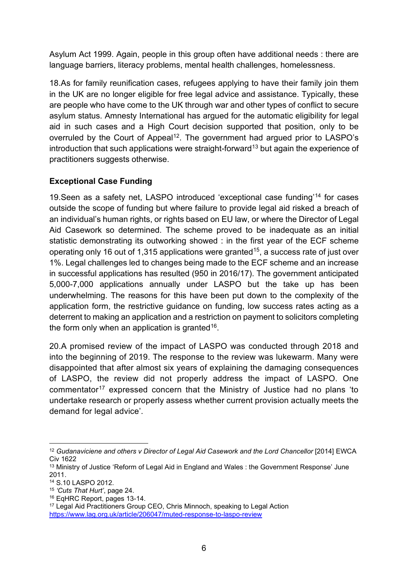Asylum Act 1999. Again, people in this group often have additional needs : there are language barriers, literacy problems, mental health challenges, homelessness.

18.As for family reunification cases, refugees applying to have their family join them in the UK are no longer eligible for free legal advice and assistance. Typically, these are people who have come to the UK through war and other types of conflict to secure asylum status. Amnesty International has argued for the automatic eligibility for legal aid in such cases and a High Court decision supported that position, only to be overruled by the Court of Appeal<sup>12</sup>. The government had argued prior to LASPO's introduction that such applications were straight-forward<sup>[13](#page-5-1)</sup> but again the experience of practitioners suggests otherwise.

# **Exceptional Case Funding**

19.Seen as a safety net, LASPO introduced 'exceptional case funding'[14](#page-5-2) for cases outside the scope of funding but where failure to provide legal aid risked a breach of an individual's human rights, or rights based on EU law, or where the Director of Legal Aid Casework so determined. The scheme proved to be inadequate as an initial statistic demonstrating its outworking showed : in the first year of the ECF scheme operating only 16 out of 1,315 applications were granted<sup>15</sup>, a success rate of just over 1%. Legal challenges led to changes being made to the ECF scheme and an increase in successful applications has resulted (950 in 2016/17). The government anticipated 5,000-7,000 applications annually under LASPO but the take up has been underwhelming. The reasons for this have been put down to the complexity of the application form, the restrictive guidance on funding, low success rates acting as a deterrent to making an application and a restriction on payment to solicitors completing the form only when an application is granted<sup>[16](#page-5-4)</sup>.

20.A promised review of the impact of LASPO was conducted through 2018 and into the beginning of 2019. The response to the review was lukewarm. Many were disappointed that after almost six years of explaining the damaging consequences of LASPO, the review did not properly address the impact of LASPO. One commentator<sup>[17](#page-5-5)</sup> expressed concern that the Ministry of Justice had no plans 'to undertake research or properly assess whether current provision actually meets the demand for legal advice'.

<span id="page-5-0"></span><sup>12</sup> *Gudanaviciene and others v Director of Legal Aid Casework and the Lord Chancellor* [2014] EWCA Civ 1622

<span id="page-5-1"></span><sup>&</sup>lt;sup>13</sup> Ministry of Justice 'Reform of Legal Aid in England and Wales : the Government Response' June 2011.

<span id="page-5-2"></span><sup>14</sup> S.10 LASPO 2012.

<span id="page-5-3"></span><sup>15</sup> *'Cuts That Hurt'*, page 24.

<span id="page-5-4"></span><sup>16</sup> EqHRC Report, pages 13-14.

<span id="page-5-5"></span><sup>&</sup>lt;sup>17</sup> Legal Aid Practitioners Group CEO, Chris Minnoch, speaking to Legal Action <https://www.lag.org.uk/article/206047/muted-response-to-laspo-review>